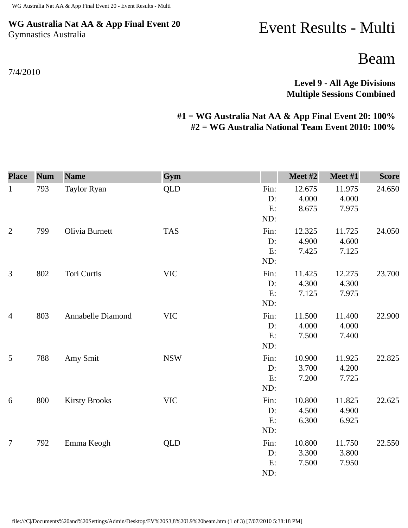## **WG Australia Nat AA & App Final Event 20** Gymnastics Australia

7/4/2010

## Event Results - Multi

Beam

**Level 9 - All Age Divisions Multiple Sessions Combined** 

## **#1 = WG Australia Nat AA & App Final Event 20: 100% #2 = WG Australia National Team Event 2010: 100%**

| <b>Place</b>   | <b>Num</b> | <b>Name</b>          | Gym        |                         | Meet #2                  | Meet #1                  | <b>Score</b> |
|----------------|------------|----------------------|------------|-------------------------|--------------------------|--------------------------|--------------|
| $\mathbf{1}$   | 793        | Taylor Ryan          | <b>QLD</b> | Fin:<br>D:<br>E:<br>ND: | 12.675<br>4.000<br>8.675 | 11.975<br>4.000<br>7.975 | 24.650       |
| $\overline{2}$ | 799        | Olivia Burnett       | <b>TAS</b> | Fin:<br>D:<br>E:<br>ND: | 12.325<br>4.900<br>7.425 | 11.725<br>4.600<br>7.125 | 24.050       |
| 3              | 802        | Tori Curtis          | <b>VIC</b> | Fin:<br>D:<br>E:<br>ND: | 11.425<br>4.300<br>7.125 | 12.275<br>4.300<br>7.975 | 23.700       |
| $\overline{4}$ | 803        | Annabelle Diamond    | <b>VIC</b> | Fin:<br>D:<br>E:<br>ND: | 11.500<br>4.000<br>7.500 | 11.400<br>4.000<br>7.400 | 22.900       |
| 5              | 788        | Amy Smit             | <b>NSW</b> | Fin:<br>D:<br>E:<br>ND: | 10.900<br>3.700<br>7.200 | 11.925<br>4.200<br>7.725 | 22.825       |
| 6              | 800        | <b>Kirsty Brooks</b> | <b>VIC</b> | Fin:<br>D:<br>E:<br>ND: | 10.800<br>4.500<br>6.300 | 11.825<br>4.900<br>6.925 | 22.625       |
| 7              | 792        | Emma Keogh           | <b>QLD</b> | Fin:<br>D:<br>E:<br>ND: | 10.800<br>3.300<br>7.500 | 11.750<br>3.800<br>7.950 | 22.550       |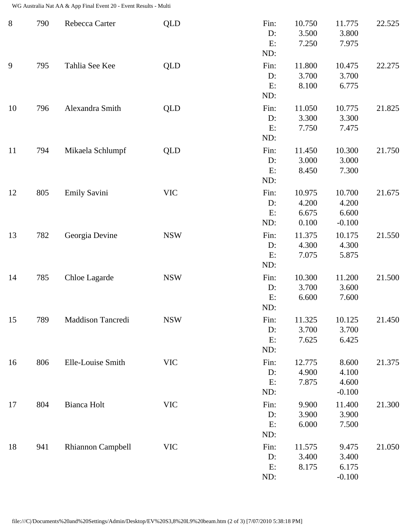WG Australia Nat AA & App Final Event 20 - Event Results - Multi

| $8\,$ | 790 | Rebecca Carter           | <b>QLD</b> | Fin:<br>D:<br>E:<br>ND:    | 10.750<br>3.500<br>7.250          | 11.775<br>3.800<br>7.975             | 22.525 |
|-------|-----|--------------------------|------------|----------------------------|-----------------------------------|--------------------------------------|--------|
| 9     | 795 | Tahlia See Kee           | <b>QLD</b> | Fin:<br>$D$ :<br>E:<br>ND: | 11.800<br>3.700<br>8.100          | 10.475<br>3.700<br>6.775             | 22.275 |
| 10    | 796 | Alexandra Smith          | <b>QLD</b> | Fin:<br>D:<br>E:<br>ND:    | 11.050<br>3.300<br>7.750          | 10.775<br>3.300<br>7.475             | 21.825 |
| 11    | 794 | Mikaela Schlumpf         | <b>QLD</b> | Fin:<br>D:<br>E:<br>ND:    | 11.450<br>3.000<br>8.450          | 10.300<br>3.000<br>7.300             | 21.750 |
| 12    | 805 | Emily Savini             | <b>VIC</b> | Fin:<br>D:<br>E:<br>ND:    | 10.975<br>4.200<br>6.675<br>0.100 | 10.700<br>4.200<br>6.600<br>$-0.100$ | 21.675 |
| 13    | 782 | Georgia Devine           | <b>NSW</b> | Fin:<br>D:<br>E:<br>ND:    | 11.375<br>4.300<br>7.075          | 10.175<br>4.300<br>5.875             | 21.550 |
| 14    | 785 | Chloe Lagarde            | <b>NSW</b> | Fin:<br>$D$ :<br>E:<br>ND: | 10.300<br>3.700<br>6.600          | 11.200<br>3.600<br>7.600             | 21.500 |
| 15    | 789 | Maddison Tancredi        | <b>NSW</b> | Fin:<br>D:<br>E:<br>ND:    | 11.325<br>3.700<br>7.625          | 10.125<br>3.700<br>6.425             | 21.450 |
| 16    | 806 | Elle-Louise Smith        | <b>VIC</b> | Fin:<br>D:<br>E:<br>ND:    | 12.775<br>4.900<br>7.875          | 8.600<br>4.100<br>4.600<br>$-0.100$  | 21.375 |
| 17    | 804 | <b>Bianca Holt</b>       | <b>VIC</b> | Fin:<br>D:<br>E:<br>ND:    | 9.900<br>3.900<br>6.000           | 11.400<br>3.900<br>7.500             | 21.300 |
| 18    | 941 | <b>Rhiannon Campbell</b> | <b>VIC</b> | Fin:<br>D:<br>E:<br>ND:    | 11.575<br>3.400<br>8.175          | 9.475<br>3.400<br>6.175<br>$-0.100$  | 21.050 |